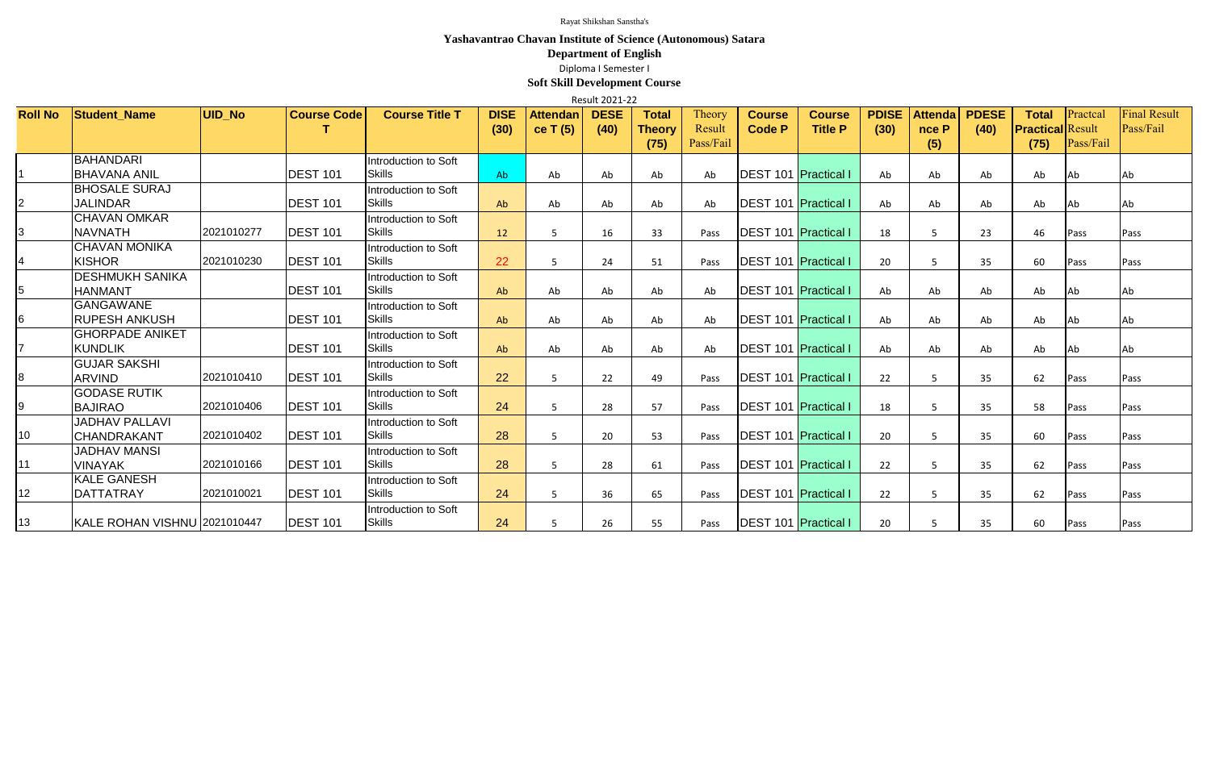| Result 2021-22  |                                    |               |                    |                                       |                     |                               |                     |                        |                  |                                |                                 |                      |                         |                      |                                         |           |                                  |
|-----------------|------------------------------------|---------------|--------------------|---------------------------------------|---------------------|-------------------------------|---------------------|------------------------|------------------|--------------------------------|---------------------------------|----------------------|-------------------------|----------------------|-----------------------------------------|-----------|----------------------------------|
| <b>Roll No</b>  | <b>Student Name</b>                | <b>UID No</b> | <b>Course Code</b> | <b>Course Title T</b>                 | <b>DISE</b><br>(30) | <b>Attendan</b><br>ce T $(5)$ | <b>DESE</b><br>(40) | <b>Total</b><br>Theory | Theory<br>Result | <b>Course</b><br><b>Code P</b> | <b>Course</b><br><b>Title P</b> | <b>PDISE</b><br>(30) | <b>Attenda</b><br>nce P | <b>PDESE</b><br>(40) | <b>Total</b><br><b>Practical Result</b> | Practcal  | <b>Final Result</b><br>Pass/Fail |
|                 |                                    |               |                    |                                       |                     |                               |                     | (75)                   | Pass/Fail        |                                |                                 |                      | (5)                     |                      | (75)                                    | Pass/Fail |                                  |
|                 | <b>BAHANDARI</b>                   |               |                    | Introduction to Soft                  |                     |                               |                     |                        |                  |                                |                                 |                      |                         |                      |                                         |           |                                  |
|                 | <b>BHAVANA ANIL</b>                |               | <b>DEST 101</b>    | <b>Skills</b>                         | <b>Ab</b>           | Ab                            | Ab                  | Ab                     | Ab               | <b>DEST 101 Practical I</b>    |                                 | Ab                   | Ab                      | Ab                   | Ab                                      | Ab        | Ab                               |
|                 | <b>BHOSALE SURAJ</b>               |               |                    | Introduction to Soft                  |                     |                               |                     |                        |                  |                                |                                 |                      |                         |                      |                                         |           |                                  |
| $\overline{2}$  | <b>JALINDAR</b>                    |               | <b>DEST 101</b>    | <b>Skills</b>                         | Ab                  | Ab                            | Ab                  | Ab                     | Ab               | <b>DEST 101 Practical I</b>    |                                 | Ab                   | Ab                      | Ab                   | Ab                                      | Ab.       | Ab                               |
|                 | <b>CHAVAN OMKAR</b>                |               |                    | Introduction to Soft                  |                     |                               |                     |                        |                  |                                |                                 |                      |                         |                      |                                         |           |                                  |
| 3               | <b>NAVNATH</b>                     | 2021010277    | <b>DEST 101</b>    | <b>Skills</b>                         | 12                  | -5                            | 16                  | 33                     | Pass             | <b>DEST 101 Practical I</b>    |                                 | 18                   | -5                      | 23                   | 46                                      | Pass      | Pass                             |
|                 | CHAVAN MONIKA                      |               |                    | Introduction to Soft                  |                     |                               |                     |                        |                  |                                |                                 |                      |                         |                      |                                         |           |                                  |
| 4               | <b>KISHOR</b>                      | 2021010230    | <b>DEST 101</b>    | <b>Skills</b>                         | 22                  | 5                             | 24                  | 51                     | Pass             | <b>IDEST 101 Practical I</b>   |                                 | 20                   | 5                       | 35                   | 60                                      | Pass      | Pass                             |
|                 | <b>DESHMUKH SANIKA</b>             |               | <b>DEST 101</b>    | Introduction to Soft                  |                     |                               |                     |                        |                  |                                |                                 |                      |                         |                      |                                         |           |                                  |
| 5               | <b>HANMANT</b><br><b>GANGAWANE</b> |               |                    | <b>Skills</b>                         | Ab                  | Ab                            | Ab                  | Ab                     | Ab               | <b>IDEST 101 Practical I</b>   |                                 | Ab                   | Ab                      | Ab                   | Ab                                      | Ab        | Ab                               |
| 6               | IRUPESH ANKUSH                     |               | <b>DEST 101</b>    | Introduction to Soft<br><b>Skills</b> |                     | Ab                            |                     |                        | Ab               | <b>DEST 101 Practical I</b>    |                                 | Ab                   | Ab                      |                      | Ab                                      |           |                                  |
|                 | <b>GHORPADE ANIKET</b>             |               |                    | Introduction to Soft                  | Ab                  |                               | Ab                  | Ab                     |                  |                                |                                 |                      |                         | Ab                   |                                         | Ab        | Ab                               |
| $\overline{7}$  | <b>KUNDLIK</b>                     |               | <b>DEST 101</b>    | <b>Skills</b>                         | Ab                  | Ab                            | Ab                  | Ab                     | Ab               | <b>DEST 101 Practical I</b>    |                                 | Ab                   | Ab                      | Ab                   | Ab                                      | Ab        | Ab                               |
|                 | <b>GUJAR SAKSHI</b>                |               |                    | Introduction to Soft                  |                     |                               |                     |                        |                  |                                |                                 |                      |                         |                      |                                         |           |                                  |
| 8               | <b>ARVIND</b>                      | 2021010410    | <b>DEST 101</b>    | <b>Skills</b>                         | 22                  | -5                            | 22                  | 49                     | Pass             | <b>DEST 101 Practical I</b>    |                                 | 22                   | -5                      | 35                   | 62                                      | Pass      | Pass                             |
|                 | <b>GODASE RUTIK</b>                |               |                    | Introduction to Soft                  |                     |                               |                     |                        |                  |                                |                                 |                      |                         |                      |                                         |           |                                  |
| 9               | <b>BAJIRAO</b>                     | 2021010406    | <b>DEST 101</b>    | <b>Skills</b>                         | 24                  | 5                             | 28                  | 57                     | Pass             | <b>IDEST 101 Practical I</b>   |                                 | 18                   | 5                       | 35                   | 58                                      | Pass      | Pass                             |
|                 | <b>JADHAV PALLAVI</b>              |               |                    | Introduction to Soft                  |                     |                               |                     |                        |                  |                                |                                 |                      |                         |                      |                                         |           |                                  |
| 10 <sup>°</sup> | <b>CHANDRAKANT</b>                 | 2021010402    | <b>DEST 101</b>    | <b>Skills</b>                         | 28                  | 5                             | 20                  | 53                     | Pass             | <b>DEST 101 Practical I</b>    |                                 | 20                   | 5                       | 35                   | 60                                      | Pass      | Pass                             |
|                 | <b>JADHAV MANSI</b>                |               |                    | Introduction to Soft                  |                     |                               |                     |                        |                  |                                |                                 |                      |                         |                      |                                         |           |                                  |
| 11              | <b>VINAYAK</b>                     | 2021010166    | <b>DEST 101</b>    | <b>Skills</b>                         | 28                  | 5                             | 28                  | 61                     | Pass             | <b>DEST 101 Practical I</b>    |                                 | 22                   | 5                       | 35                   | 62                                      | Pass      | Pass                             |
|                 | <b>KALE GANESH</b>                 |               |                    | Introduction to Soft                  |                     |                               |                     |                        |                  |                                |                                 |                      |                         |                      |                                         |           |                                  |
| 12 <sup>°</sup> | <b>DATTATRAY</b>                   | 2021010021    | <b>DEST 101</b>    | <b>Skills</b>                         | 24                  | -5                            | 36                  | 65                     | Pass             | <b>DEST 101 Practical I</b>    |                                 | 22                   | 5                       | 35                   | 62                                      | Pass      | Pass                             |
|                 |                                    |               |                    | Introduction to Soft                  |                     |                               |                     |                        |                  |                                |                                 |                      |                         |                      |                                         |           |                                  |
| 13              | KALE ROHAN VISHNU  2021010447      |               | <b>DEST 101</b>    | <b>Skills</b>                         | 24                  | 5                             | 26                  | 55                     | Pass             | <b>DEST 101 Practical I</b>    |                                 | 20                   | $\overline{5}$          | 35                   | 60                                      | Pass      | Pass                             |

**Soft Skill Development Course**

Rayat Shikshan Sanstha's

## **Yashavantrao Chavan Institute of Science (Autonomous) Satara**

## **Department of English**

Diploma I Semester I